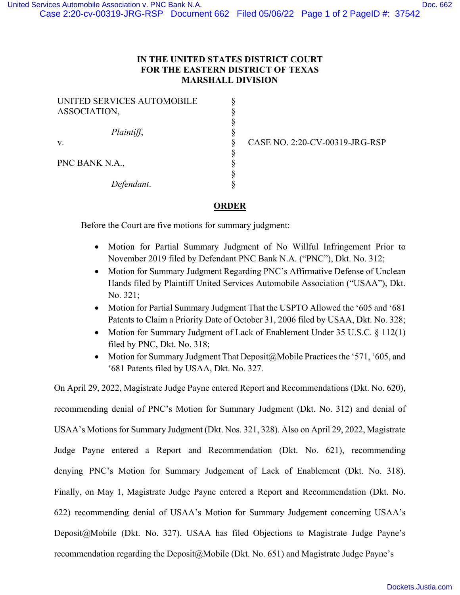## **IN THE UNITED STATES DISTRICT COURT FOR THE EASTERN DISTRICT OF TEXAS MARSHALL DIVISION**

§ § § § § § § § §

| UNITED SERVICES AUTOMOBILE<br>ASSOCIATION, |
|--------------------------------------------|
|                                            |
| Plaintiff,                                 |
| V.                                         |
| PNC BANK N.A.,                             |
| Defendant.                                 |

CASE NO. 2:20-CV-00319-JRG-RSP

## **ORDER**

Before the Court are five motions for summary judgment:

- Motion for Partial Summary Judgment of No Willful Infringement Prior to November 2019 filed by Defendant PNC Bank N.A. ("PNC"), Dkt. No. 312;
- Motion for Summary Judgment Regarding PNC's Affirmative Defense of Unclean Hands filed by Plaintiff United Services Automobile Association ("USAA"), Dkt. No. 321;
- Motion for Partial Summary Judgment That the USPTO Allowed the '605 and '681 Patents to Claim a Priority Date of October 31, 2006 filed by USAA, Dkt. No. 328;
- Motion for Summary Judgment of Lack of Enablement Under 35 U.S.C. § 112(1) filed by PNC, Dkt. No. 318;
- Motion for Summary Judgment That Deposit@Mobile Practices the '571, '605, and '681 Patents filed by USAA, Dkt. No. 327.

On April 29, 2022, Magistrate Judge Payne entered Report and Recommendations (Dkt. No. 620), recommending denial of PNC's Motion for Summary Judgment (Dkt. No. 312) and denial of USAA's Motions for Summary Judgment (Dkt. Nos. 321, 328). Also on April 29, 2022, Magistrate Judge Payne entered a Report and Recommendation (Dkt. No. 621), recommending denying PNC's Motion for Summary Judgement of Lack of Enablement (Dkt. No. 318). Finally, on May 1, Magistrate Judge Payne entered a Report and Recommendation (Dkt. No. 622) recommending denial of USAA's Motion for Summary Judgement concerning USAA's Deposit@Mobile (Dkt. No. 327). USAA has filed Objections to Magistrate Judge Payne's recommendation regarding the Deposit@Mobile (Dkt. No. 651) and Magistrate Judge Payne's